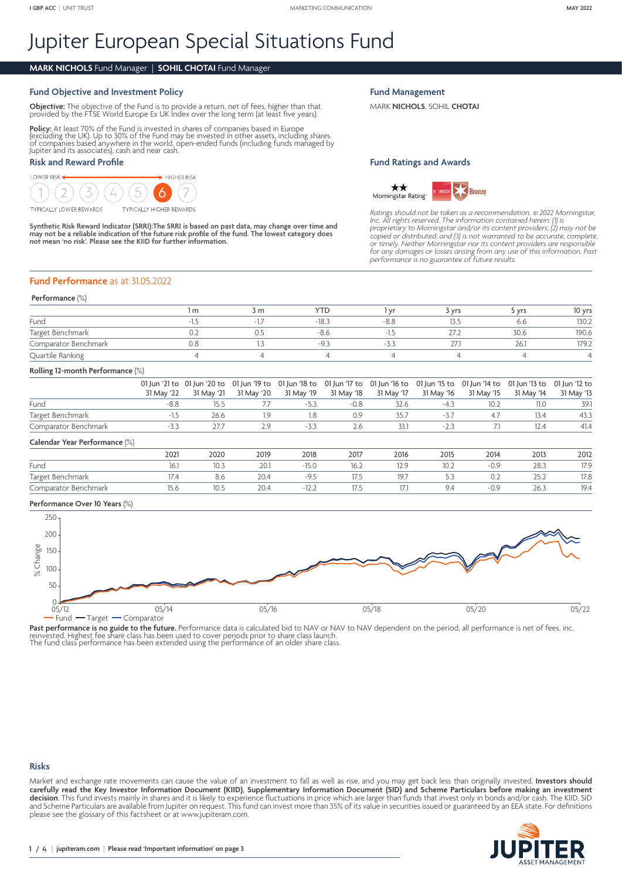# Jupiter European Special Situations Fund

# **MARK NICHOLS** Fund Manager | **SOHIL CHOTAI** Fund Manager

# **Fund Objective and Investment Policy**

**Objective:** The objective of the Fund is to provide a return, net of fees, higher than that provided by the FTSE World Europe Ex UK Index over the long term (at least five years).

# **Policy:** At least 70% of the Fund is invested in shares of companies based in Europe<br>(excluding the UK). Up to 30% of the Fund may be invested in other assets, including shares<br>of companies based anywhere in the world, op Jupiter and its associates), cash and near cash.

# **Risk and Reward Profile**

LOWER RISK  $\blacktriangleright$  HIGHER RISK

**TYPICALLY LOWER REWARDS** 

**TYPICALLY HIGHER REWARDS** 

**Synthetic Risk Reward Indicator (SRRI):The SRRI is based on past data, may change over time and may not be a reliable indication of the future risk profile of the fund. The lowest category does not mean 'no risk'. Please see the KIID for further information.**

#### **Fund Management**

MARK **NICHOLS**, SOHIL **CHOTAI** 

## **Fund Ratings and Awards**



*Ratings should not be taken as a recommendation.* © *2022 Morningstar, Inc. All rights reserved. The information contained herein: (1) is proprietary to Morningstar and/or its content providers; (2) may not be*  copied or distributed; and (3) is not warranted to be accurate, complete,<br>or timely. Neither Morningstar nor its content providers are responsible<br>for any damages or losses arising from any use of this information. Past<br>pe

## **Fund Performance** as at 31.05.2022

#### **Performance** (%)

|                      | m | 3 m   | <b>YTF</b> |      | vrs            | · vrs | 10 vrs |
|----------------------|---|-------|------------|------|----------------|-------|--------|
| Fund                 |   | $1 -$ | $-18.$     | -ö.c |                | O.O   | 130.2  |
| Target Benchmark     |   |       |            |      | $\sim$ $ \sim$ | 30.6  | 190.6  |
| Comparator Benchmark |   |       | -4         |      | 27.            | ZG.   | 179.2  |
| Quartile Ranking     |   |       |            |      |                |       |        |

#### **Rolling 12-month Performance** (%)

|                               |            | 01 Jun $21$ to $01$ Jun $20$ to |            |            |            | 01 Jun '19 to 01 Jun '18 to 01 Jun '17 to 01 Jun '16 to 01 Jun '15 to 01 Jun '14 to 01 Jun '13 to 01 Jun '12 to |            |            |            |            |
|-------------------------------|------------|---------------------------------|------------|------------|------------|-----------------------------------------------------------------------------------------------------------------|------------|------------|------------|------------|
|                               | 31 May '22 | 31 May '21                      | 31 May '20 | 31 May '19 | 31 May '18 | 31 May '17                                                                                                      | 31 May '16 | 31 May '15 | 31 May '14 | 31 May '13 |
| Fund                          | $-8.8$     | 15.5                            |            | $-5.3$     | $-0.8$     | 32.6                                                                                                            | $-4.3$     | 10.2       | 11.0       | 39.1       |
| Target Benchmark              | $-1.5$     | 26.6                            | 1.9        | 1.8        | 0.9        | 35.7                                                                                                            | $-3.7$     | 4.7        | 13.4       | 43.3       |
| Comparator Benchmark          | $-3.3$     | 27.7                            | 2.9        | $-3.3$     | 2.6        | 33.1                                                                                                            | $-2.3$     |            | 12.4       | 41.4       |
| Calendar Year Performance (%) |            |                                 |            |            |            |                                                                                                                 |            |            |            |            |
|                               | 2021       | 2020                            | 2019       | 2018       | 2017       | 2016                                                                                                            | 2015       | 2014       | 2013       | 2012       |
| Fund                          | 16.        | 10.3                            | 20.1       | $-15.0$    | 16.2       | 12.9                                                                                                            | 10.2       | $-0.9$     | 28.3       | 17.9       |

Target Benchmark 17.4 8.6 20.4 -9.5 17.5 19.7 5.3 0.2 25.2 17.8 Comparator Benchmark 15.6 10.5 20.4 -12.2 17.5 17.1 9.4 -0.9 26.3 19.4

# **Performance Over 10 Years** (%)



**Past performance is no guide to the future.** Performance data is calculated bid to NAV or NAV to NAV dependent on the period, all performance is net of fees, inc.<br>reinvested. Highest fee share class has been used to cover

#### **Risks**

Market and exchange rate movements can cause the value of an investment to fall as well as rise, and you may get back less than originally invested. **Investors should carefully read the Key Investor Information Document (KIID), Supplementary Information Document (SID) and Scheme Particulars before making an investment decision**. This fund invests mainly in shares and it is likely to experience fluctuations in price which are larger than funds that invest only in bonds and/or cash. The KIID, SID and Scheme Particulars are available from Jupiter on request. This fund can invest more than 35% of its value in securities issued or guaranteed by an EEA state. For definitions please see the glossary of this factsheet or at <www.jupiteram.com>.

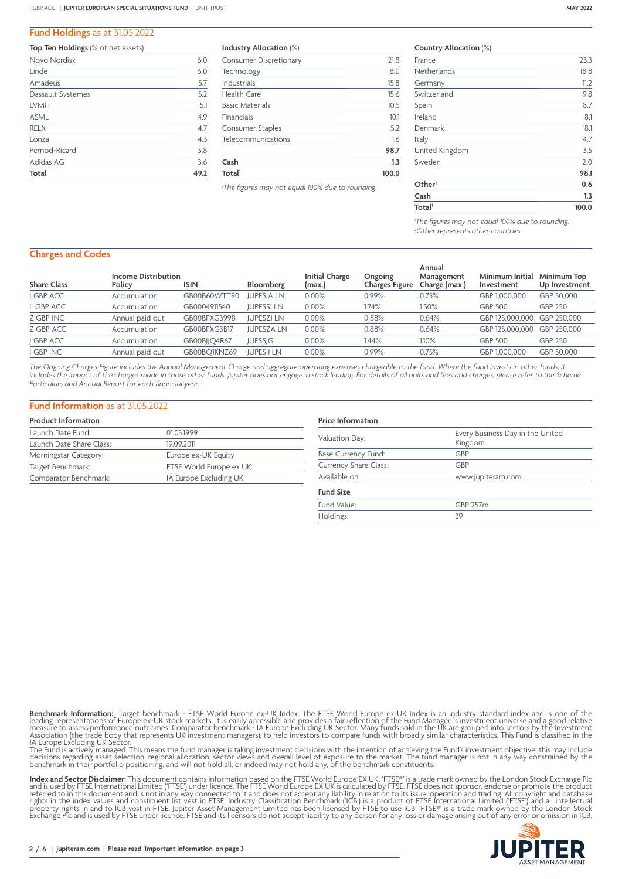#### **Fund Holdings** as at 31.05.2022

#### **Top Ten Holdings** (% of net assets)

| Total             | 49.2 |
|-------------------|------|
| Adidas AG         | 3.6  |
| Pernod-Ricard     | 3.8  |
| Lonza             | 4.3  |
| <b>RELX</b>       | 4.7  |
| <b>ASML</b>       | 4.9  |
| <b>LVMH</b>       | 5.1  |
| Dassault Systemes | 5.2  |
| Amadeus           | 5.7  |
| Linde             | 6.0  |
| Novo Nordisk      | 6.0  |

**Industry Allocation** (%)

| Total <sup>1</sup>            | 100.0 |  |  |
|-------------------------------|-------|--|--|
| Cash                          | 1.3   |  |  |
|                               | 98.7  |  |  |
| Telecommunications            | 1.6   |  |  |
| Consumer Staples              | 5.2   |  |  |
| Financials                    | 10.1  |  |  |
| <b>Basic Materials</b>        | 10.5  |  |  |
| Health Care                   | 15.6  |  |  |
| Industrials                   | 15.8  |  |  |
| Technology                    | 18.0  |  |  |
| <b>Consumer Discretionary</b> | 21.8  |  |  |

*1 The figures may not equal 100% due to rounding.*

#### **Country Allocation** (%)

| 100.0 |
|-------|
| 1.3   |
| 0.6   |
| 98.1  |
| 2.0   |
| 3.5   |
| 4.7   |
| 8.1   |
| 8.1   |
| 8.7   |
| 9.8   |
| 11.2  |
| 18.8  |
| 23.3  |
|       |

*1 The figures may not equal 100% due to rounding. 2 Other represents other countries.*

#### **Charges and Codes**

| <b>Share Class</b> | <b>Income Distribution</b><br>Policy | <b>ISIN</b>  | Bloomberg         | <b>Initial Charge</b><br>(max.) | Ongoing<br>Charges Figure | Annual<br>Management<br>Charge (max.) | Minimum Initial<br>Investment | Minimum Top<br>Up Investment |
|--------------------|--------------------------------------|--------------|-------------------|---------------------------------|---------------------------|---------------------------------------|-------------------------------|------------------------------|
| I GBP ACC          | Accumulation                         | GB00B60WTT90 | <b>JUPESIA LN</b> | 0.00%                           | 0.99%                     | 0.75%                                 | GBP 1,000,000                 | GBP 50,000                   |
| L GBP ACC          | Accumulation                         | GB0004911540 | <b>JUPESSI LN</b> | 0.00%                           | .74%                      | 1.50%                                 | GBP 500                       | GBP 250                      |
| Z GBP INC          | Annual paid out                      | GB00BFXG3998 | <b>JUPESZI LN</b> | 0.00%                           | 0.88%                     | 0.64%                                 | GBP 125,000,000               | GBP 250,000                  |
| Z GBP ACC          | Accumulation                         | GB00BFXG3B17 | <b>JUPESZALN</b>  | $0.00\%$                        | 0.88%                     | 0.64%                                 | GBP 125,000,000               | GBP 250,000                  |
| J GBP ACC          | Accumulation                         | GB00BJJQ4R67 | <b>JUESSIG</b>    | 0.00%                           | l.44%                     | 1.10%                                 | GBP 500                       | <b>GBP 250</b>               |
| I GBP INC          | Annual paid out                      | GB00BO1KNZ69 | <b>JUPESII LN</b> | 0.00%                           | 0.99%                     | 0.75%                                 | GBP 1,000,000                 | GBP 50.000                   |

The Ongoing Charges Figure includes the Annual Management Charge and aggregate operating expenses chargeable to the fund. Where the fund invests in other funds, it *includes the impact of the charges made in those other funds. Jupiter does not engage in stock lending. For details of all units and fees and charges, please refer to the Scheme Particulars and Annual Report for each financial year.*

#### **Fund Information** as at 31.05.2022

#### **Product Information**

| Launch Date Fund:        | 01.03.1999              |
|--------------------------|-------------------------|
| Launch Date Share Class: | 19.09.2011              |
| Morningstar Category:    | Europe ex-UK Equity     |
| Target Benchmark:        | FTSE World Europe ex UK |
| Comparator Benchmark:    | IA Europe Excluding UK  |
|                          |                         |

#### **Price Information**

| Valuation Day:        | Every Business Day in the United<br>Kingdom |  |  |  |
|-----------------------|---------------------------------------------|--|--|--|
| Base Currency Fund:   | GBP                                         |  |  |  |
| Currency Share Class: | GBP                                         |  |  |  |
| Available on:         | www.jupiteram.com                           |  |  |  |
| <b>Fund Size</b>      |                                             |  |  |  |
| Fund Value:           | GBP 257m                                    |  |  |  |
| Holdings:             | 39                                          |  |  |  |
|                       |                                             |  |  |  |

**Benchmark Information:** Target benchmark - FTSE World Europe ex-UK Index. The FTSE World Europe ex-UK Index is an industry standard index and is one of the leading representations of Europe CNL Stock markets. It is easily

**Index and Sector Disclaimer:** This document contains information based on the FTSE World Europe EX UK. 'FTSE®' is a trade mark owned by the London Stock Exchange Plc<br>and is used by FTSE International Limited ('FTSE') unde

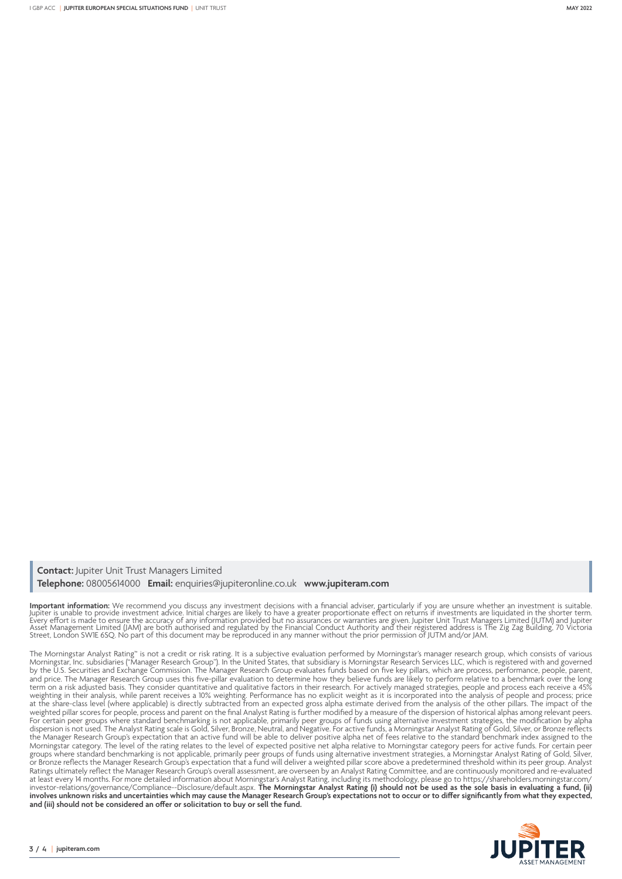# **Contact:** Jupiter Unit Trust Managers Limited **Telephone:** 08005614000 **Email:** enquiries@jupiteronline.co.uk **www.jupiteram.com**

**Important information:** We recommend you discuss any investment decisions with a financial adviser, particularly if you are unsure whether an investment is suitable.<br>Jupiter is unable to provide investment advice. Initial

The Morningstar Analyst Rating™ is not a credit or risk rating. It is a subjective evaluation performed by Morningstar's manager research group, which consists of various Morningstar, Inc. subsidiaries ("Manager Research Group"). In the United States, that subsidiary is Morningstar Research Services LLC, which is registered with and governed by the U.S. Securities and Exchange Commission. The Manager Research Group evaluates funds based on five key pillars, which are process, performance, people, parent, and price. The Manager Research Group uses this five-pillar evaluation to determine how they believe funds are likely to perform relative to a benchmark over the long term on a risk adjusted basis. They consider quantitative and qualitative factors in their research. For actively managed strategies, people and process each receive a 45% weighting in their analysis, while parent receives a 10% weighting. Performance has no explicit weight as it is incorporated into the analysis of people and process; price at the share-class level (where applicable) is directly subtracted from an expected gross alpha estimate derived from the analysis of the other pillars. The impact of the weighted pillar scores for people, process and parent on the final Analyst Rating is further modified by a measure of the dispersion of historical alphas among relevant peers. For certain peer groups where standard benchmarking is not applicable, primarily peer groups of funds using alternative investment strategies, the modification by alpha dispersion is not used. The Analyst Rating scale is Gold, Silver, Bronze, Neutral, and Negative. For active funds, a Morningstar Analyst Rating of Gold, Silver, or Bronze reflects the Manager Research Group's expectation that an active fund will be able to deliver positive alpha net of fees relative to the standard benchmark index assigned to the Morningstar category. The level of the rating relates to the level of expected positive net alpha relative to Morningstar category peers for active funds. For certain peer groups where standard benchmarking is not applicable, primarily peer groups of funds using alternative investment strategies, a Morningstar Analyst Rating of Gold, Silver, or Bronze reflects the Manager Research Group's expectation that a fund will deliver a weighted pillar score above a predetermined threshold within its peer group. Analyst Ratings ultimately reflect the Manager Research Group's overall assessment, are overseen by an Analyst Rating Committee, and are continuously monitored and re-evaluated at least every 14 months. For more detailed information about Morningstar's Analyst Rating, including its methodology, please go to [https://shareholders.morningstar.com/](https://eur02.safelinks.protection.outlook.com/?url=https%3A%2F%2Fshareholders.morningstar.com%2Finvestor-relations%2Fgovernance%2F&data=04%7C01%7Clucy.wood%40jupiteram.com%7C4038554a5e5f4bce49a108d99ae2adbe%7C70e1a0b75bf5416b96c4f244fca5ae53%7C0%7C1%7C637711123631073812%7CUnknown%7CTWFpbGZsb3d8eyJWIjoiMC4wLjAwMDAiLCJQIjoiV2luMzIiLCJBTiI6Ik1haWwiLCJXVCI6Mn0%3D%7C3000&sdata=jGoqhWfMQrXNvbn1Dtx%2Bj53uujWg4rA%2FrQuTwm6SUnI%3D&reserved=0) [investor-relations/governance/C](https://eur02.safelinks.protection.outlook.com/?url=https%3A%2F%2Fshareholders.morningstar.com%2Finvestor-relations%2Fgovernance%2F&data=04%7C01%7Clucy.wood%40jupiteram.com%7C4038554a5e5f4bce49a108d99ae2adbe%7C70e1a0b75bf5416b96c4f244fca5ae53%7C0%7C1%7C637711123631073812%7CUnknown%7CTWFpbGZsb3d8eyJWIjoiMC4wLjAwMDAiLCJQIjoiV2luMzIiLCJBTiI6Ik1haWwiLCJXVCI6Mn0%3D%7C3000&sdata=jGoqhWfMQrXNvbn1Dtx%2Bj53uujWg4rA%2FrQuTwm6SUnI%3D&reserved=0)ompliance--Disclosure/default.aspx. **The Morningstar Analyst Rating (i) should not be used as the sole basis in evaluating a fund, (ii) involves unknown risks and uncertainties which may cause the Manager Research Group's expectations not to occur or to differ significantly from what they expected, and (iii) should not be considered an offer or solicitation to buy or sell the fund.**